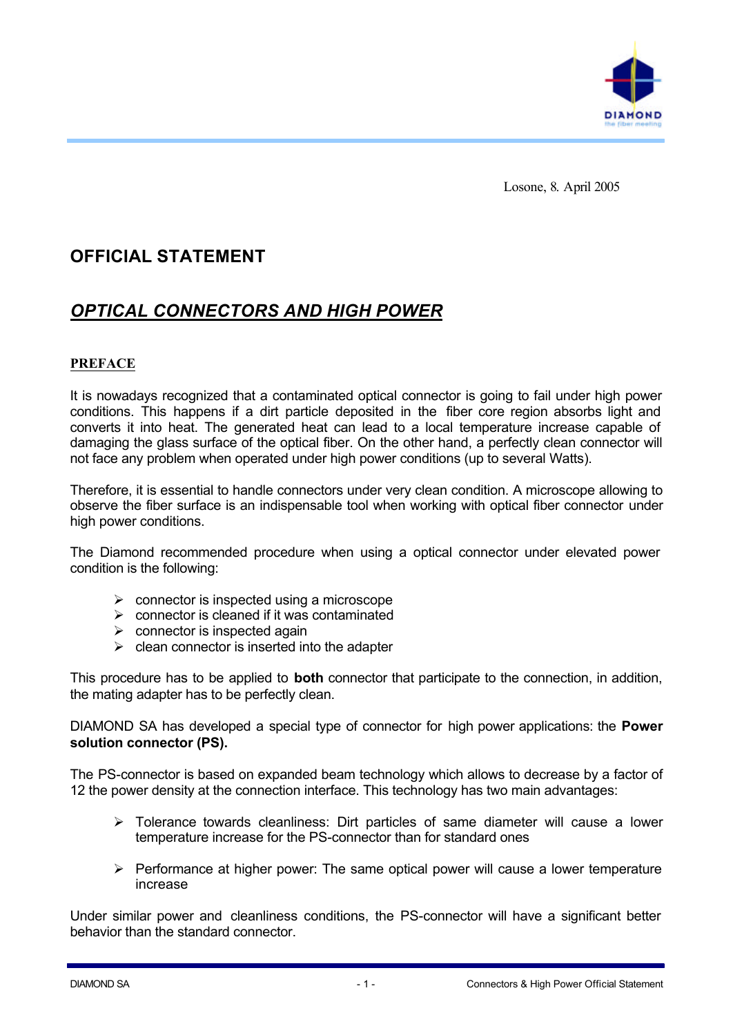

Losone, 8. April 2005

# **OFFICIAL STATEMENT**

## *OPTICAL CONNECTORS AND HIGH POWER*

## **PREFACE**

It is nowadays recognized that a contaminated optical connector is going to fail under high power conditions. This happens if a dirt particle deposited in the fiber core region absorbs light and converts it into heat. The generated heat can lead to a local temperature increase capable of damaging the glass surface of the optical fiber. On the other hand, a perfectly clean connector will not face any problem when operated under high power conditions (up to several Watts).

Therefore, it is essential to handle connectors under very clean condition. A microscope allowing to observe the fiber surface is an indispensable tool when working with optical fiber connector under high power conditions.

The Diamond recommended procedure when using a optical connector under elevated power condition is the following:

- $\triangleright$  connector is inspected using a microscope
- $\triangleright$  connector is cleaned if it was contaminated
- $\triangleright$  connector is inspected again
- $\triangleright$  clean connector is inserted into the adapter

This procedure has to be applied to **both** connector that participate to the connection, in addition, the mating adapter has to be perfectly clean.

DIAMOND SA has developed a special type of connector for high power applications: the **Power solution connector (PS).**

The PS-connector is based on expanded beam technology which allows to decrease by a factor of 12 the power density at the connection interface. This technology has two main advantages:

- $\triangleright$  Tolerance towards cleanliness: Dirt particles of same diameter will cause a lower temperature increase for the PS-connector than for standard ones
- $\triangleright$  Performance at higher power: The same optical power will cause a lower temperature increase

Under similar power and cleanliness conditions, the PS-connector will have a significant better behavior than the standard connector.